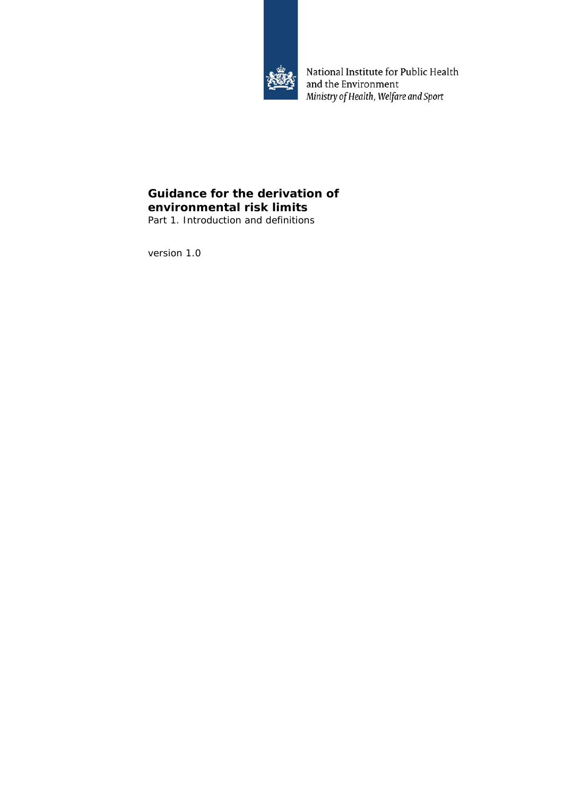

National Institute for Public Health and the Environment Ministry of Health, Welfare and Sport

### **Guidance for the derivation of environmental risk limits** Part 1. Introduction and definitions

version 1.0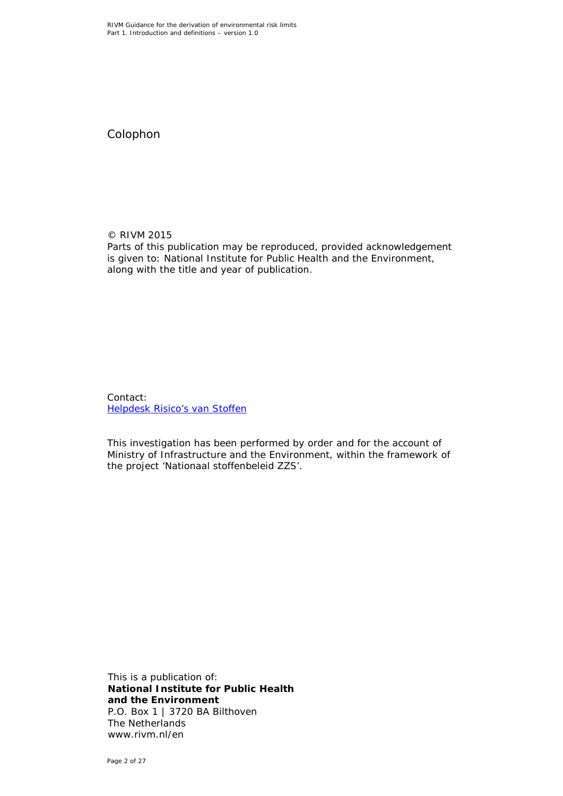Colophon

© RIVM 2015 Parts of this publication may be reproduced, provided acknowledgement is given to: National Institute for Public Health and the Environment, along with the title and year of publication.

Contact: [Helpdesk Risico's van Stoffen](https://rvs.rivm.nl/helpdesk/helpdesk-risicos-van-stoffen)

This investigation has been performed by order and for the account of Ministry of Infrastructure and the Environment, within the framework of the project 'Nationaal stoffenbeleid ZZS'.

This is a publication of: **National Institute for Public Health and the Environment** P.O. Box 1 | 3720 BA Bilthoven The Netherlands www.rivm.nl/en

Page 2 of 27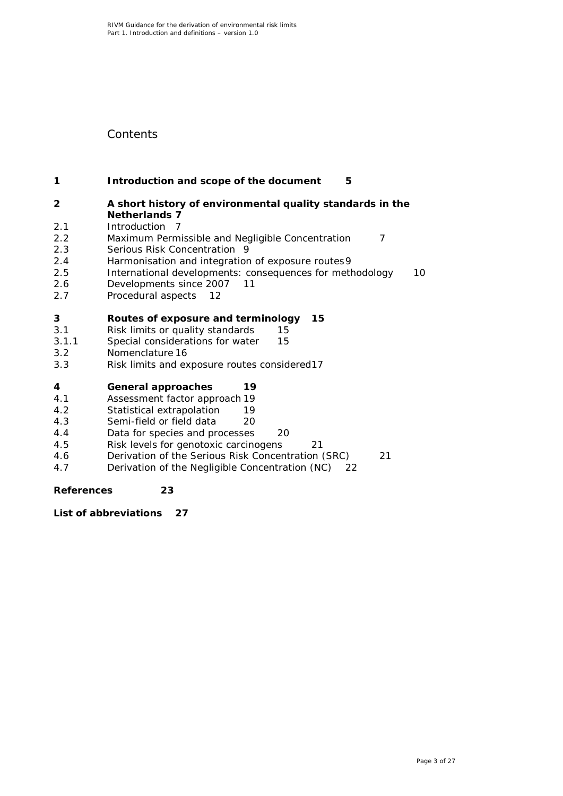# **Contents**

# **1 [Introduction and scope of the document](#page-4-0) 5 2 [A short history of environmental quality standards in the](#page-6-0)  [Netherlands](#page-6-0) 7** 2.1 [Introduction](#page-6-1) 7 2.2 [Maximum Permissible and Negligible Concentration](#page-6-2) 7

- 2.3 [Serious Risk Concentration](#page-8-0) 9
- 2.4 Harmonisation and integration of exposure routes 9<br>2.5 International developments: consequences for meth
- 2.5 [International developments: consequences for methodology](#page-9-0) 10<br>2.6 Developments since 2007 11
- 2.6 [Developments since 2007](#page-10-0) 11<br>2.7 Procedural aspects 12
- [Procedural aspects](#page-11-0) 12

#### **3 [Routes of exposure and terminology](#page-14-0) 15**

- 3.1 [Risk limits or quality standards](#page-14-1) 15<br>3.1.1 Special considerations for water 15
- 3.1.1 [Special considerations for water](#page-14-2)
- 3.2 [Nomenclature](#page-15-0) 16
- 3.3 [Risk limits and exposure routes considered17](#page-16-0)

# **4 [General approaches](#page-18-0) 19**

- [Assessment factor approach](#page-18-1) 19
- 4.2 [Statistical extrapolation](#page-18-2) 19
- 4.3 [Semi-field or field data](#page-19-0) 20
- 
- 4.4 [Data for species and processes](#page-19-1) 20<br>4.5 Risk levels for genotoxic carcinogens [Risk levels for genotoxic carcinogens](#page-20-0) 21
- 4.6 [Derivation of the Serious Risk Concentration \(SRC\)](#page-20-1) 21
- 4.7 [Derivation of the Negligible Concentration \(NC\)](#page-21-0) 22

#### **[References](#page-22-0) 23**

**[List of abbreviations](#page-26-0) 27**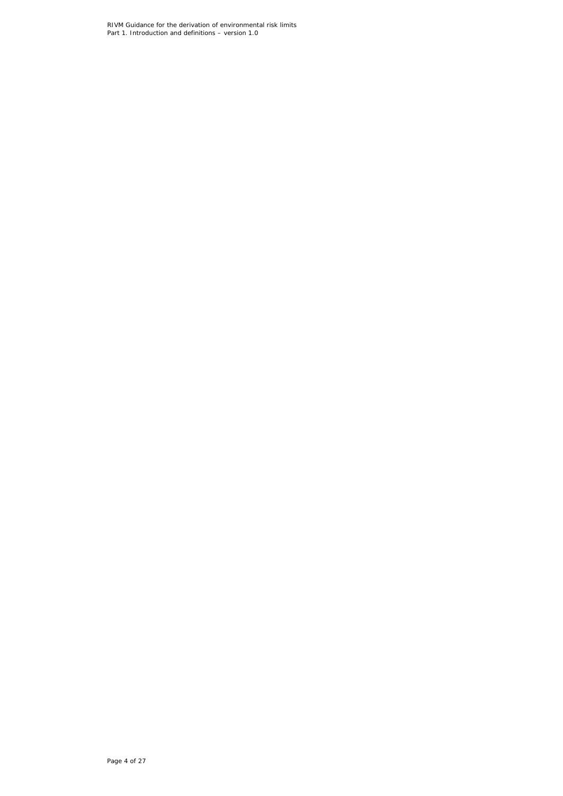RIVM Guidance for the derivation of environmental risk limits Part 1. Introduction and definitions – version 1.0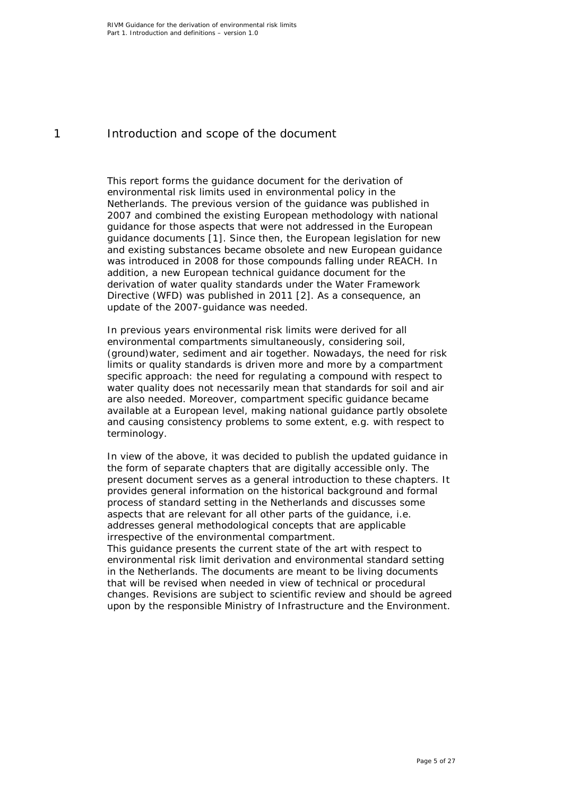#### 1 Introduction and scope of the document

<span id="page-4-0"></span>This report forms the guidance document for the derivation of environmental risk limits used in environmental policy in the Netherlands. The previous version of the guidance was published in 2007 and combined the existing European methodology with national guidance for those aspects that were not addressed in the European guidance documents [1]. Since then, the European legislation for new and existing substances became obsolete and new European guidance was introduced in 2008 for those compounds falling under REACH. In addition, a new European technical guidance document for the derivation of water quality standards under the Water Framework Directive (WFD) was published in 2011 [2]. As a consequence, an update of the 2007-guidance was needed.

In previous years environmental risk limits were derived for all environmental compartments simultaneously, considering soil, (ground)water, sediment and air together. Nowadays, the need for risk limits or quality standards is driven more and more by a compartment specific approach: the need for regulating a compound with respect to water quality does not necessarily mean that standards for soil and air are also needed. Moreover, compartment specific guidance became available at a European level, making national guidance partly obsolete and causing consistency problems to some extent, e.g. with respect to terminology.

In view of the above, it was decided to publish the updated guidance in the form of separate chapters that are digitally accessible only. The present document serves as a general introduction to these chapters. It provides general information on the historical background and formal process of standard setting in the Netherlands and discusses some aspects that are relevant for all other parts of the guidance, i.e. addresses general methodological concepts that are applicable irrespective of the environmental compartment.

This guidance presents the current state of the art with respect to environmental risk limit derivation and environmental standard setting in the Netherlands. The documents are meant to be living documents that will be revised when needed in view of technical or procedural changes. Revisions are subject to scientific review and should be agreed upon by the responsible Ministry of Infrastructure and the Environment.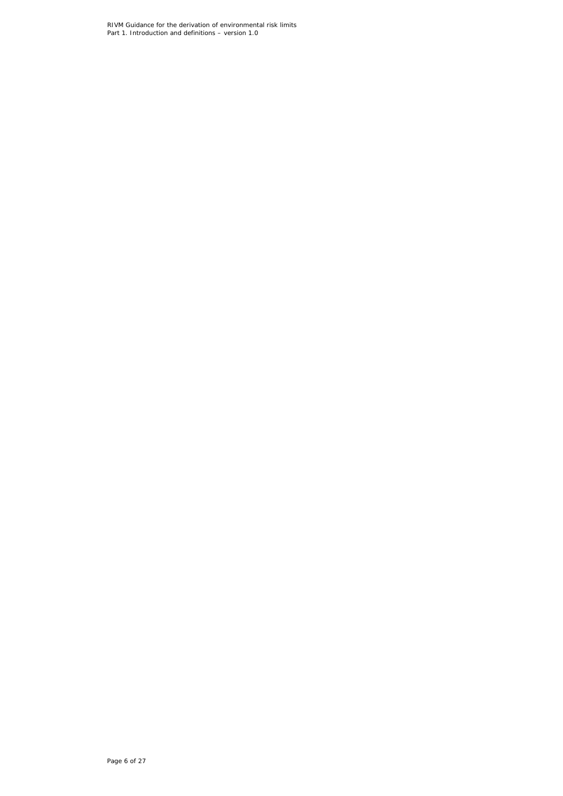RIVM Guidance for the derivation of environmental risk limits Part 1. Introduction and definitions – version 1.0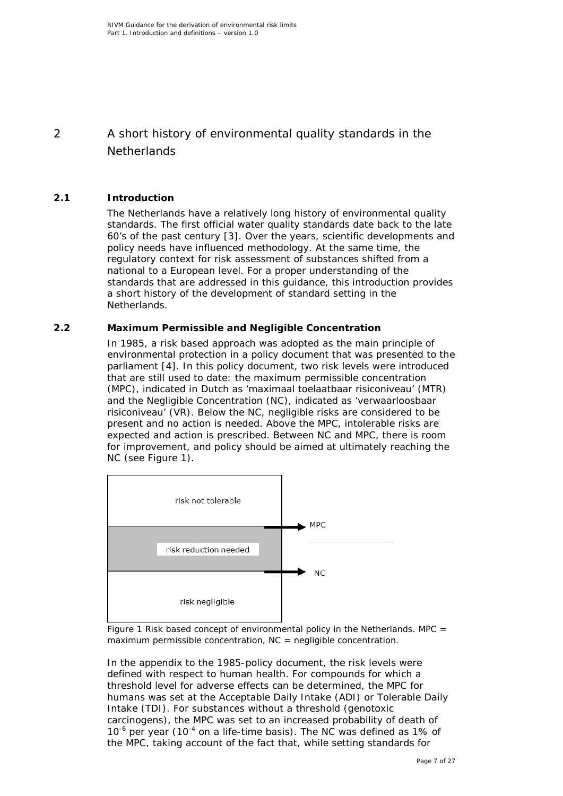# <span id="page-6-0"></span>2 A short history of environmental quality standards in the **Netherlands**

#### **2.1 Introduction**

<span id="page-6-1"></span>The Netherlands have a relatively long history of environmental quality standards. The first official water quality standards date back to the late 60's of the past century [3]. Over the years, scientific developments and policy needs have influenced methodology. At the same time, the regulatory context for risk assessment of substances shifted from a national to a European level. For a proper understanding of the standards that are addressed in this guidance, this introduction provides a short history of the development of standard setting in the Netherlands.

#### **2.2 Maximum Permissible and Negligible Concentration**

<span id="page-6-2"></span>In 1985, a risk based approach was adopted as the main principle of environmental protection in a policy document that was presented to the parliament [4]. In this policy document, two risk levels were introduced that are still used to date: the maximum permissible concentration (MPC), indicated in Dutch as '*maximaal toelaatbaar risiconiveau*' (MTR) and the Negligible Concentration (NC), indicated as '*verwaarloosbaar risiconiveau*' (VR). Below the NC, negligible risks are considered to be present and no action is needed. Above the MPC, intolerable risks are expected and action is prescribed. Between NC and MPC, there is room for improvement, and policy should be aimed at ultimately reaching the NC (see Figure 1).



*Figure 1 Risk based concept of environmental policy in the Netherlands. MPC = maximum permissible concentration, NC = negligible concentration.*

In the appendix to the 1985-policy document, the risk levels were defined with respect to human health. For compounds for which a threshold level for adverse effects can be determined, the MPC for humans was set at the Acceptable Daily Intake (ADI) or Tolerable Daily Intake (TDI). For substances without a threshold (genotoxic carcinogens), the MPC was set to an increased probability of death of  $10^{-6}$  per year (10<sup>-4</sup> on a life-time basis). The NC was defined as 1% of the MPC, taking account of the fact that, while setting standards for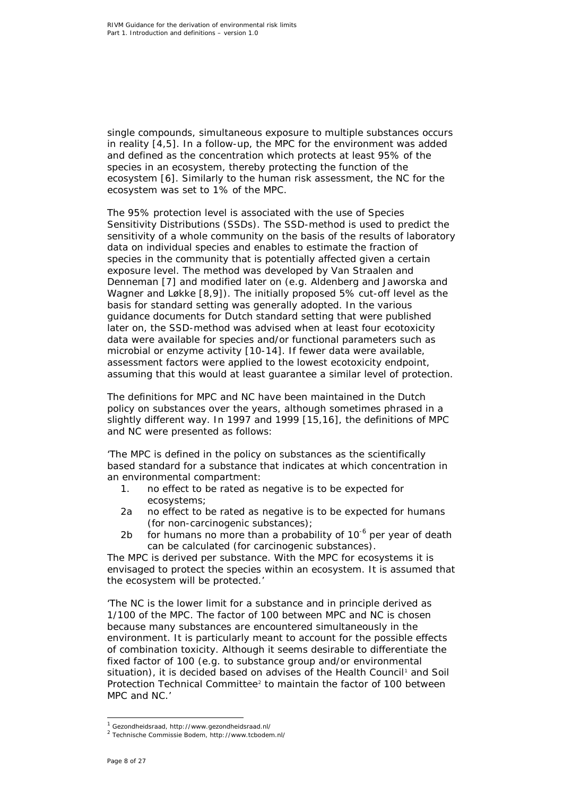single compounds, simultaneous exposure to multiple substances occurs in reality [4,5]. In a follow-up, the MPC for the environment was added and defined as the concentration which protects at least 95% of the species in an ecosystem, thereby protecting the function of the ecosystem [6]. Similarly to the human risk assessment, the NC for the ecosystem was set to 1% of the MPC.

The 95% protection level is associated with the use of Species Sensitivity Distributions (SSDs). The SSD-method is used to predict the sensitivity of a whole community on the basis of the results of laboratory data on individual species and enables to estimate the fraction of species in the community that is potentially affected given a certain exposure level. The method was developed by Van Straalen and Denneman [7] and modified later on (e.g. Aldenberg and Jaworska and Wagner and Løkke [8,9]). The initially proposed 5% cut-off level as the basis for standard setting was generally adopted. In the various guidance documents for Dutch standard setting that were published later on, the SSD-method was advised when at least four ecotoxicity data were available for species and/or functional parameters such as microbial or enzyme activity [10-14]. If fewer data were available, assessment factors were applied to the lowest ecotoxicity endpoint, assuming that this would at least guarantee a similar level of protection.

The definitions for MPC and NC have been maintained in the Dutch policy on substances over the years, although sometimes phrased in a slightly different way. In 1997 and 1999 [15,16], the definitions of MPC and NC were presented as follows:

'The MPC is defined in the policy on substances as the scientifically based standard for a substance that indicates at which concentration in an environmental compartment:

- 1. no effect to be rated as negative is to be expected for ecosystems;
- 2a no effect to be rated as negative is to be expected for humans (for non-carcinogenic substances);
- 2b for humans no more than a probability of  $10^{-6}$  per year of death can be calculated (for carcinogenic substances).

The MPC is derived per substance. With the MPC for ecosystems it is envisaged to protect the species within an ecosystem. It is assumed that the ecosystem will be protected.'

'The NC is the lower limit for a substance and in principle derived as 1/100 of the MPC. The factor of 100 between MPC and NC is chosen because many substances are encountered simultaneously in the environment. It is particularly meant to account for the possible effects of combination toxicity. Although it seems desirable to differentiate the fixed factor of 100 (e.g. to substance group and/or environmental situation), it is decided based on advises of the Health Council<sup>[1](#page-7-0)</sup> and Soil Protection Technical Committee<sup>[2](#page-7-1)</sup> to maintain the factor of 100 between MPC and NC.'

 <sup>1</sup> Gezondheidsraad,<http://www.gezondheidsraad.nl/>

<span id="page-7-1"></span><span id="page-7-0"></span><sup>2</sup> Technische Commissie Bodem,<http://www.tcbodem.nl/>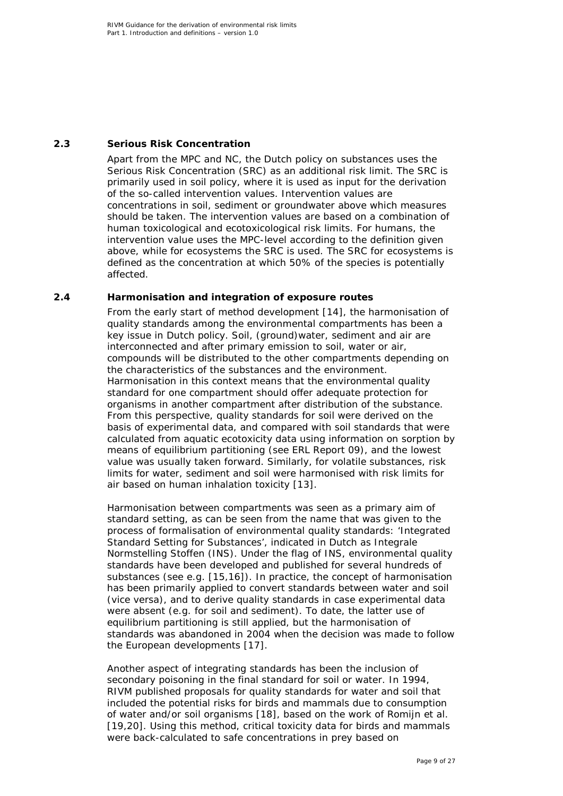#### **2.3 Serious Risk Concentration**

<span id="page-8-0"></span>Apart from the MPC and NC, the Dutch policy on substances uses the Serious Risk Concentration (SRC) as an additional risk limit. The SRC is primarily used in soil policy, where it is used as input for the derivation of the so-called intervention values. Intervention values are concentrations in soil, sediment or groundwater above which measures should be taken. The intervention values are based on a combination of human toxicological and ecotoxicological risk limits. For humans, the intervention value uses the MPC-level according to the definition given above, while for ecosystems the SRC is used. The SRC for ecosystems is defined as the concentration at which 50% of the species is potentially affected.

#### **2.4 Harmonisation and integration of exposure routes**

<span id="page-8-1"></span>From the early start of method development [14], the harmonisation of quality standards among the environmental compartments has been a key issue in Dutch policy. Soil, (ground)water, sediment and air are interconnected and after primary emission to soil, water or air, compounds will be distributed to the other compartments depending on the characteristics of the substances and the environment. Harmonisation in this context means that the environmental quality standard for one compartment should offer adequate protection for organisms in another compartment after distribution of the substance. From this perspective, quality standards for soil were derived on the basis of experimental data, and compared with soil standards that were calculated from aquatic ecotoxicity data using information on sorption by means of equilibrium partitioning (see ERL Report 09), and the lowest value was usually taken forward. Similarly, for volatile substances, risk limits for water, sediment and soil were harmonised with risk limits for air based on human inhalation toxicity [13].

Harmonisation between compartments was seen as a primary aim of standard setting, as can be seen from the name that was given to the process of formalisation of environmental quality standards: 'Integrated Standard Setting for Substances', indicated in Dutch as *Integrale Normstelling Stoffen* (INS). Under the flag of INS, environmental quality standards have been developed and published for several hundreds of substances (see e.g. [15,16]). In practice, the concept of harmonisation has been primarily applied to convert standards between water and soil (vice versa), and to derive quality standards in case experimental data were absent (e.g. for soil and sediment). To date, the latter use of equilibrium partitioning is still applied, but the harmonisation of standards was abandoned in 2004 when the decision was made to follow the European developments [17].

Another aspect of integrating standards has been the inclusion of secondary poisoning in the final standard for soil or water. In 1994, RIVM published proposals for quality standards for water and soil that included the potential risks for birds and mammals due to consumption of water and/or soil organisms [18], based on the work of Romijn et al. [19,20]. Using this method, critical toxicity data for birds and mammals were back-calculated to safe concentrations in prey based on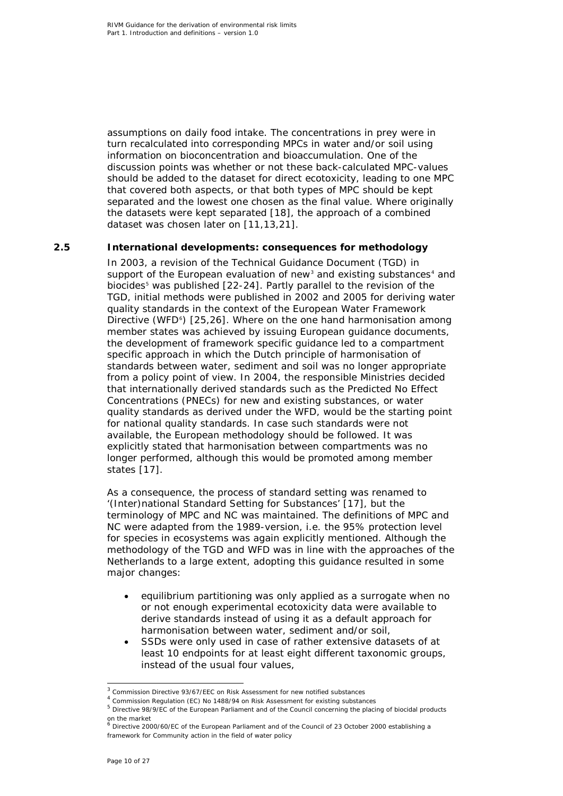assumptions on daily food intake. The concentrations in prey were in turn recalculated into corresponding MPCs in water and/or soil using information on bioconcentration and bioaccumulation. One of the discussion points was whether or not these back-calculated MPC-values should be added to the dataset for direct ecotoxicity, leading to one MPC that covered both aspects, or that both types of MPC should be kept separated and the lowest one chosen as the final value. Where originally the datasets were kept separated [18], the approach of a combined dataset was chosen later on [11,13,21].

#### **2.5 International developments: consequences for methodology**

<span id="page-9-0"></span>In 2003, a revision of the Technical Guidance Document (TGD) in support of the European evaluation of new<sup>[3](#page-9-1)</sup> and existing substances<sup>[4](#page-9-2)</sup> and biocides<sup>[5](#page-9-3)</sup> was published [22-24]. Partly parallel to the revision of the TGD, initial methods were published in 2002 and 2005 for deriving water quality standards in the context of the European Water Framework Directive (WFD<sup>[6](#page-9-4)</sup>) [25,26]. Where on the one hand harmonisation among member states was achieved by issuing European guidance documents, the development of framework specific guidance led to a compartment specific approach in which the Dutch principle of harmonisation of standards between water, sediment and soil was no longer appropriate from a policy point of view. In 2004, the responsible Ministries decided that internationally derived standards such as the Predicted No Effect Concentrations (PNECs) for new and existing substances, or water quality standards as derived under the WFD, would be the starting point for national quality standards. In case such standards were not available, the European methodology should be followed. It was explicitly stated that harmonisation between compartments was no longer performed, although this would be promoted among member states [17].

As a consequence, the process of standard setting was renamed to '(Inter)national Standard Setting for Substances' [17], but the terminology of MPC and NC was maintained. The definitions of MPC and NC were adapted from the 1989-version, i.e. the 95% protection level for species in ecosystems was again explicitly mentioned. Although the methodology of the TGD and WFD was in line with the approaches of the Netherlands to a large extent, adopting this guidance resulted in some major changes:

- equilibrium partitioning was only applied as a surrogate when no or not enough experimental ecotoxicity data were available to derive standards instead of using it as a default approach for harmonisation between water, sediment and/or soil,
- SSDs were only used in case of rather extensive datasets of at least 10 endpoints for at least eight different taxonomic groups, instead of the usual four values,

 <sup>3</sup> Commission Directive 93/67/EEC on Risk Assessment for new notified substances

<sup>4</sup> Commission Regulation (EC) No 1488/94 on Risk Assessment for existing substances

<span id="page-9-4"></span><span id="page-9-3"></span><span id="page-9-2"></span><span id="page-9-1"></span><sup>5</sup> Directive 98/9/EC of the European Parliament and of the Council concerning the placing of biocidal products

on the market<br><sup>6</sup> Directive 2000/60/EC of the European Parliament and of the Council of 23 October 2000 establishing a framework for Community action in the field of water policy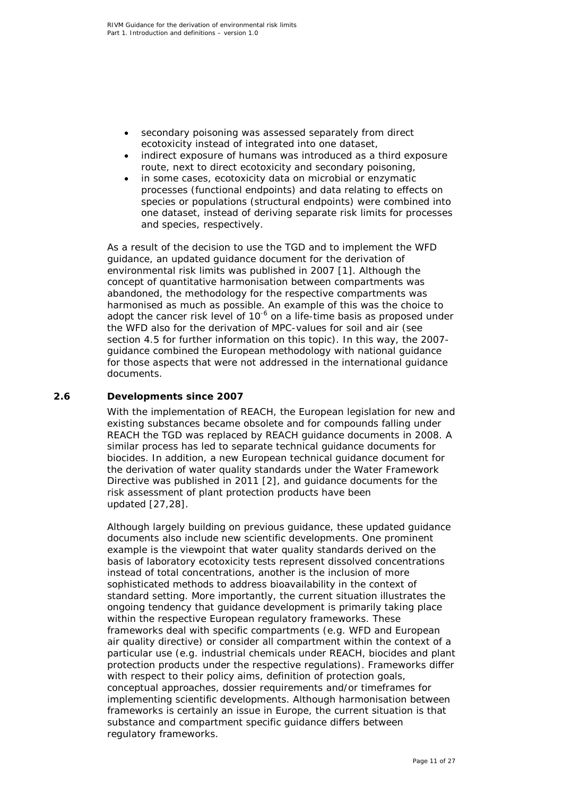- secondary poisoning was assessed separately from direct ecotoxicity instead of integrated into one dataset,
- indirect exposure of humans was introduced as a third exposure route, next to direct ecotoxicity and secondary poisoning,
- in some cases, ecotoxicity data on microbial or enzymatic processes (functional endpoints) and data relating to effects on species or populations (structural endpoints) were combined into one dataset, instead of deriving separate risk limits for processes and species, respectively.

As a result of the decision to use the TGD and to implement the WFD guidance, an updated guidance document for the derivation of environmental risk limits was published in 2007 [1]. Although the concept of quantitative harmonisation between compartments was abandoned, the methodology for the respective compartments was harmonised as much as possible. An example of this was the choice to adopt the cancer risk level of  $10^{-6}$  on a life-time basis as proposed under the WFD also for the derivation of MPC-values for soil and air (see section 4.5 for further information on this topic). In this way, the 2007 guidance combined the European methodology with national guidance for those aspects that were not addressed in the international guidance documents.

#### **2.6 Developments since 2007**

<span id="page-10-0"></span>With the implementation of REACH, the European legislation for new and existing substances became obsolete and for compounds falling under REACH the TGD was replaced by REACH guidance documents in 2008. A similar process has led to separate technical guidance documents for biocides. In addition, a new European technical guidance document for the derivation of water quality standards under the Water Framework Directive was published in 2011 [2], and guidance documents for the risk assessment of plant protection products have been updated [27,28].

Although largely building on previous guidance, these updated guidance documents also include new scientific developments. One prominent example is the viewpoint that water quality standards derived on the basis of laboratory ecotoxicity tests represent dissolved concentrations instead of total concentrations, another is the inclusion of more sophisticated methods to address bioavailability in the context of standard setting. More importantly, the current situation illustrates the ongoing tendency that guidance development is primarily taking place within the respective European regulatory frameworks. These frameworks deal with specific compartments (e.g. WFD and European air quality directive) or consider all compartment within the context of a particular use (e.g. industrial chemicals under REACH, biocides and plant protection products under the respective regulations). Frameworks differ with respect to their policy aims, definition of protection goals, conceptual approaches, dossier requirements and/or timeframes for implementing scientific developments. Although harmonisation between frameworks is certainly an issue in Europe, the current situation is that substance and compartment specific guidance differs between regulatory frameworks.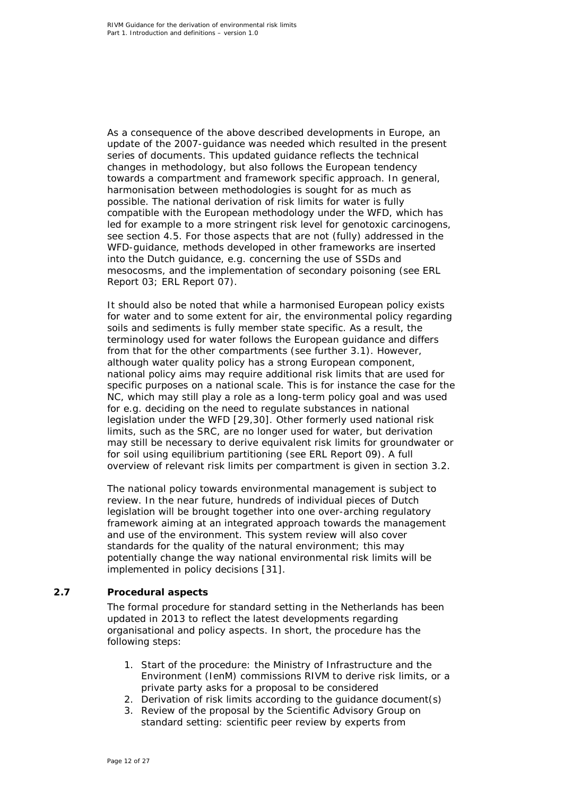As a consequence of the above described developments in Europe, an update of the 2007-guidance was needed which resulted in the present series of documents. This updated guidance reflects the technical changes in methodology, but also follows the European tendency towards a compartment and framework specific approach. In general, harmonisation between methodologies is sought for as much as possible. The national derivation of risk limits for water is fully compatible with the European methodology under the WFD, which has led for example to a more stringent risk level for genotoxic carcinogens, see section 4.5. For those aspects that are not (fully) addressed in the WFD-guidance, methods developed in other frameworks are inserted into the Dutch guidance, e.g. concerning the use of SSDs and mesocosms, and the implementation of secondary poisoning (see ERL Report 03; ERL Report 07).

It should also be noted that while a harmonised European policy exists for water and to some extent for air, the environmental policy regarding soils and sediments is fully member state specific. As a result, the terminology used for water follows the European guidance and differs from that for the other compartments (see further 3.1). However, although water quality policy has a strong European component, national policy aims may require additional risk limits that are used for specific purposes on a national scale. This is for instance the case for the NC, which may still play a role as a long-term policy goal and was used for e.g. deciding on the need to regulate substances in national legislation under the WFD [29,30]. Other formerly used national risk limits, such as the SRC, are no longer used for water, but derivation may still be necessary to derive equivalent risk limits for groundwater or for soil using equilibrium partitioning (see ERL Report 09). A full overview of relevant risk limits per compartment is given in section 3.2.

The national policy towards environmental management is subject to review. In the near future, hundreds of individual pieces of Dutch legislation will be brought together into one over-arching regulatory framework aiming at an integrated approach towards the management and use of the environment. This system review will also cover standards for the quality of the natural environment; this may potentially change the way national environmental risk limits will be implemented in policy decisions [31].

#### **2.7 Procedural aspects**

<span id="page-11-0"></span>The formal procedure for standard setting in the Netherlands has been updated in 2013 to reflect the latest developments regarding organisational and policy aspects. In short, the procedure has the following steps:

- 1. Start of the procedure: the Ministry of Infrastructure and the Environment (IenM) commissions RIVM to derive risk limits, or a private party asks for a proposal to be considered
- 2. Derivation of risk limits according to the guidance document(s)
- 3. Review of the proposal by the Scientific Advisory Group on standard setting: scientific peer review by experts from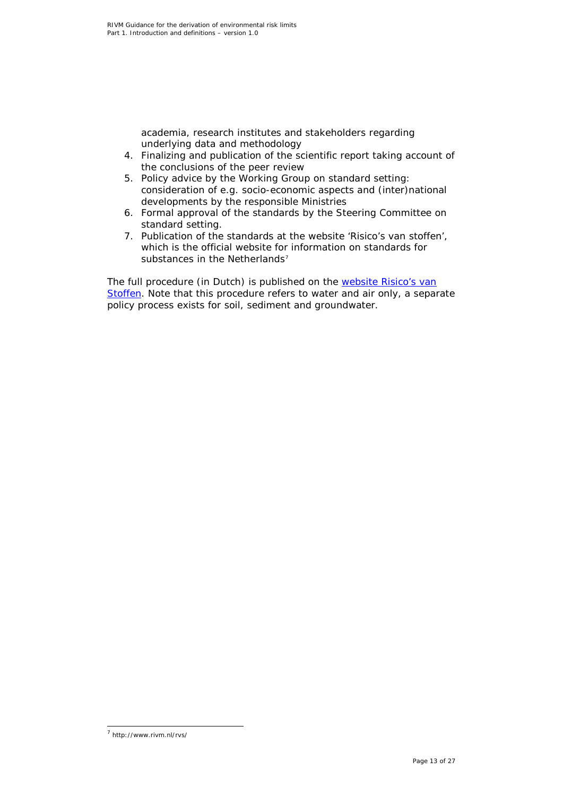academia, research institutes and stakeholders regarding underlying data and methodology

- 4. Finalizing and publication of the scientific report taking account of the conclusions of the peer review
- 5. Policy advice by the Working Group on standard setting: consideration of e.g. socio-economic aspects and (inter)national developments by the responsible Ministries
- 6. Formal approval of the standards by the Steering Committee on standard setting.
- 7. Publication of the standards at the website 'Risico's van stoffen', which is the official website for information on standards for substances in the Netherlands<sup>[7](#page-12-0)</sup>

The full procedure (in Dutch) is published on the website Risico's van [Stoffen.](http://www.rivm.nl/rvs/Helpdesk/Helpdesk_Risico_s_van_stoffen) Note that this procedure refers to water and air only, a separate policy process exists for soil, sediment and groundwater.

<span id="page-12-0"></span> <sup>7</sup> <http://www.rivm.nl/rvs/>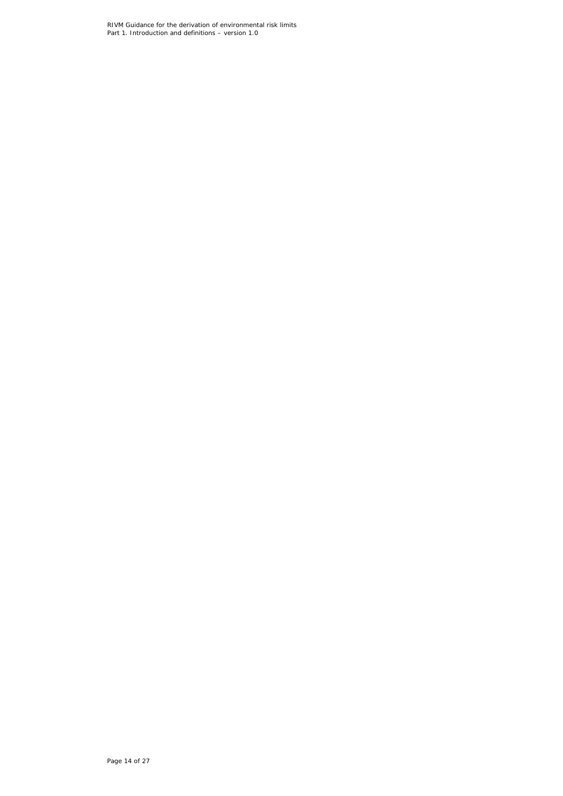RIVM Guidance for the derivation of environmental risk limits Part 1. Introduction and definitions – version 1.0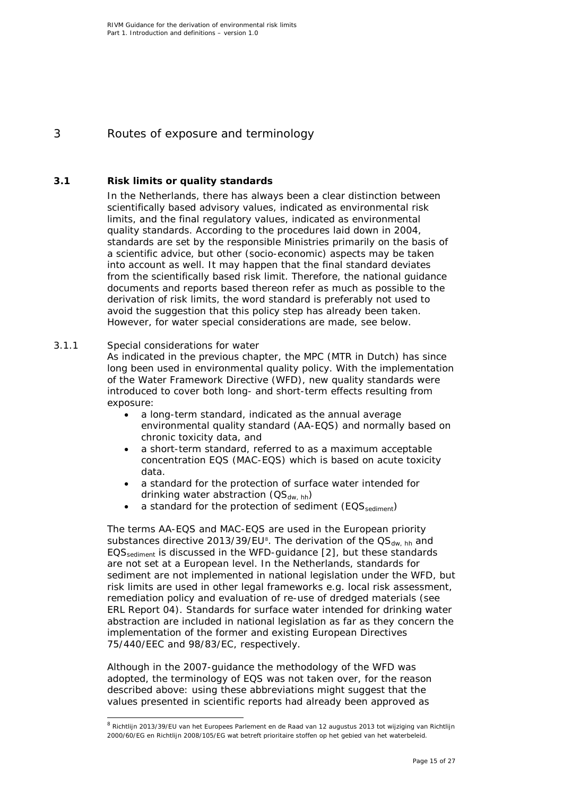# <span id="page-14-0"></span>3 Routes of exposure and terminology

#### **3.1 Risk limits or quality standards**

<span id="page-14-1"></span>In the Netherlands, there has always been a clear distinction between scientifically based advisory values, indicated as environmental *risk limits*, and the final regulatory values, indicated as environmental *quality standards*. According to the procedures laid down in 2004, standards are set by the responsible Ministries primarily on the basis of a scientific advice, but other (socio-economic) aspects may be taken into account as well. It may happen that the final standard deviates from the scientifically based risk limit. Therefore, the national guidance documents and reports based thereon refer as much as possible to the derivation of risk limits, the word *standard* is preferably not used to avoid the suggestion that this policy step has already been taken. However, for water special considerations are made, see below.

#### *3.1.1 Special considerations for water*

<span id="page-14-2"></span>As indicated in the previous chapter, the MPC (*MTR* in Dutch) has since long been used in environmental quality policy. With the implementation of the Water Framework Directive (WFD), new quality standards were introduced to cover both long- and short-term effects resulting from exposure:

- a long-term standard, indicated as the annual average environmental quality standard (AA-EQS) and normally based on chronic toxicity data, and
- a short-term standard, referred to as a maximum acceptable concentration EQS (MAC-EQS) which is based on acute toxicity data.
- a standard for the protection of surface water intended for drinking water abstraction  $(OS_{dw, hh})$
- a standard for the protection of sediment ( $EOS_{\text{sediment}}$ )

The terms AA-EQS and MAC-EQS are used in the European priority substances directive 2013/39/EU $^{\rm s}$ . The derivation of the QS $_{\sf dw,\,hh}$  and EQS<sub>sediment</sub> is discussed in the WFD-guidance [2], but these standards are not set at a European level. In the Netherlands, standards for sediment are not implemented in national legislation under the WFD, but risk limits are used in other legal frameworks e.g. local risk assessment, remediation policy and evaluation of re-use of dredged materials (see ERL Report 04). Standards for surface water intended for drinking water abstraction are included in national legislation as far as they concern the implementation of the former and existing European Directives 75/440/EEC and 98/83/EC, respectively.

Although in the 2007-guidance the methodology of the WFD was adopted, the terminology of EQS was not taken over, for the reason described above: using these abbreviations might suggest that the values presented in scientific reports had already been approved as

<span id="page-14-3"></span><sup>&</sup>lt;sup>8</sup> Richtlijn 2013/39/EU van het Europees Parlement en de Raad van 12 augustus 2013 tot wijziging van Richtlijn 2000/60/EG en Richtlijn 2008/105/EG wat betreft prioritaire stoffen op het gebied van het waterbeleid.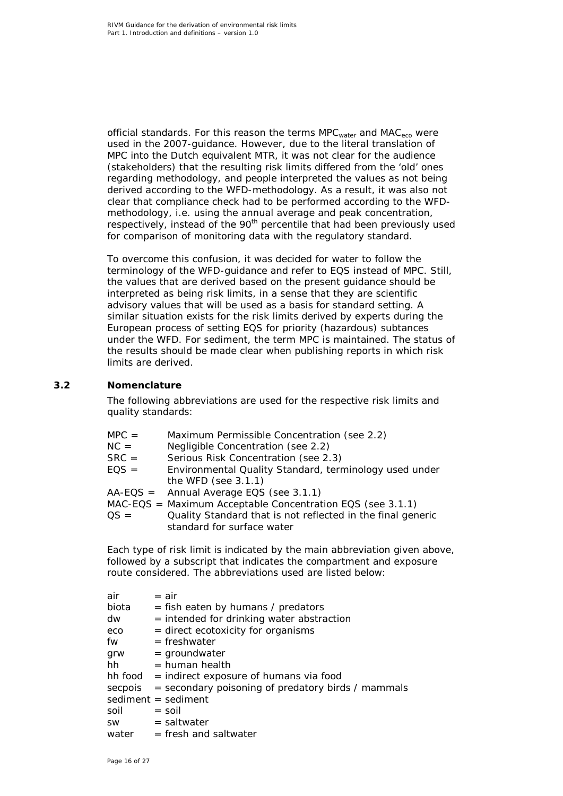official standards. For this reason the terms MPC<sub>water</sub> and MAC<sub>eco</sub> were used in the 2007-guidance. However, due to the literal translation of MPC into the Dutch equivalent MTR, it was not clear for the audience (stakeholders) that the resulting risk limits differed from the 'old' ones regarding methodology, and people interpreted the values as not being derived according to the WFD-methodology. As a result, it was also not clear that compliance check had to be performed according to the WFDmethodology, i.e. using the annual average and peak concentration, respectively, instead of the 90<sup>th</sup> percentile that had been previously used for comparison of monitoring data with the regulatory standard.

To overcome this confusion, it was decided for water to follow the terminology of the WFD-guidance and refer to EQS instead of MPC. Still, the values that are derived based on the present guidance should be interpreted as being risk limits, in a sense that they are scientific advisory values that will be used as a basis for standard setting. A similar situation exists for the risk limits derived by experts during the European process of setting EQS for priority (hazardous) subtances under the WFD. For sediment, the term MPC is maintained. The status of the results should be made clear when publishing reports in which risk limits are derived.

#### **3.2 Nomenclature**

<span id="page-15-0"></span>The following abbreviations are used for the respective risk limits and quality standards:

| Maximum Permissible Concentration (see 2.2)                   |  |  |
|---------------------------------------------------------------|--|--|
| Negligible Concentration (see 2.2)                            |  |  |
| Serious Risk Concentration (see 2.3)                          |  |  |
| Environmental Quality Standard, terminology used under        |  |  |
| the WFD (see $3.1.1$ )                                        |  |  |
| $AA-EQS =$ Annual Average EQS (see 3.1.1)                     |  |  |
| $MAC$ -EQS = Maximum Acceptable Concentration EQS (see 3.1.1) |  |  |
| Quality Standard that is not reflected in the final generic   |  |  |
| standard for surface water                                    |  |  |
|                                                               |  |  |

Each type of risk limit is indicated by the main abbreviation given above, followed by a subscript that indicates the compartment and exposure route considered. The abbreviations used are listed below:

| air       | $=$ air                                                      |
|-----------|--------------------------------------------------------------|
| biota     | $=$ fish eaten by humans / predators                         |
| dw        | $=$ intended for drinking water abstraction                  |
| eco       | $=$ direct ecotoxicity for organisms                         |
| fw        | $=$ freshwater                                               |
| grw       | $=$ groundwater                                              |
| hh        | $=$ human health                                             |
|           | $hh$ food = indirect exposure of humans via food             |
|           | $seepois = secondary poisoning of predatory birds / mammals$ |
|           | sediment $=$ sediment                                        |
| soil      | $=$ soil                                                     |
| <b>SW</b> | $=$ saltwater                                                |
| water     | $=$ fresh and saltwater                                      |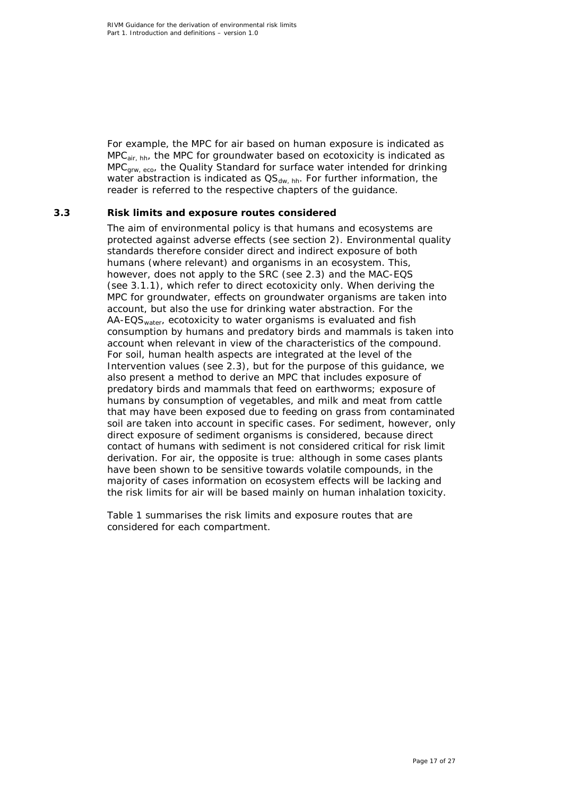For example, the MPC for air based on human exposure is indicated as MPC<sub>air, hh</sub>, the MPC for groundwater based on ecotoxicity is indicated as MPC<sub>arw, eco</sub>, the Quality Standard for surface water intended for drinking water abstraction is indicated as  $OS_{dw, hh}$ . For further information, the reader is referred to the respective chapters of the guidance.

#### **3.3 Risk limits and exposure routes considered**

<span id="page-16-0"></span>The aim of environmental policy is that humans and ecosystems are protected against adverse effects (see section 2). Environmental quality standards therefore consider direct and indirect exposure of both humans (where relevant) and organisms in an ecosystem. This, however, does not apply to the SRC (see 2.3) and the MAC-EQS (see 3.1.1), which refer to direct ecotoxicity only. When deriving the MPC for groundwater, effects on groundwater organisms are taken into account, but also the use for drinking water abstraction. For the AA-EQS<sub>water</sub>, ecotoxicity to water organisms is evaluated and fish consumption by humans and predatory birds and mammals is taken into account when relevant in view of the characteristics of the compound. For soil, human health aspects are integrated at the level of the Intervention values (see 2.3), but for the purpose of this guidance, we also present a method to derive an MPC that includes exposure of predatory birds and mammals that feed on earthworms; exposure of humans by consumption of vegetables, and milk and meat from cattle that may have been exposed due to feeding on grass from contaminated soil are taken into account in specific cases. For sediment, however, only direct exposure of sediment organisms is considered, because direct contact of humans with sediment is not considered critical for risk limit derivation. For air, the opposite is true: although in some cases plants have been shown to be sensitive towards volatile compounds, in the majority of cases information on ecosystem effects will be lacking and the risk limits for air will be based mainly on human inhalation toxicity.

Table 1 summarises the risk limits and exposure routes that are considered for each compartment.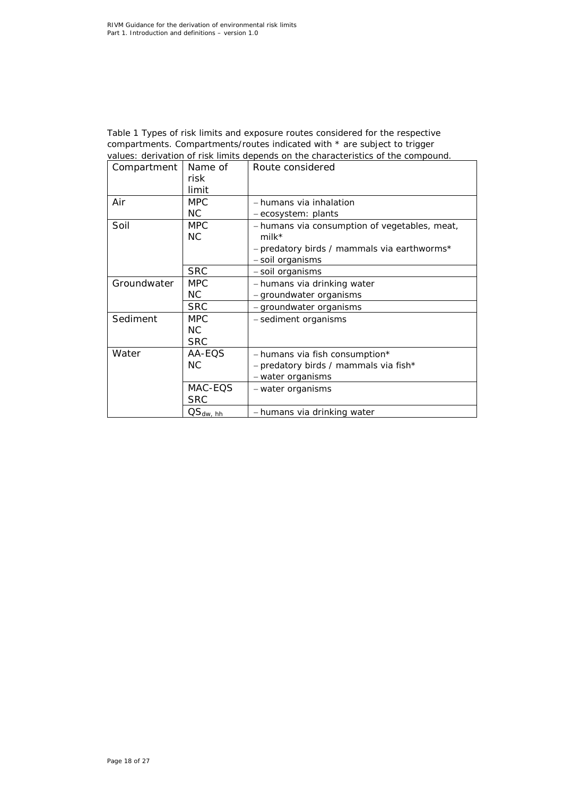*Table 1 Types of risk limits and exposure routes considered for the respective compartments. Compartments/routes indicated with \* are subject to trigger values: derivation of risk limits depends on the characteristics of the compound.* 

| Compartment | Name of              | Route considered                              |
|-------------|----------------------|-----------------------------------------------|
|             | risk                 |                                               |
|             | limit                |                                               |
| Air         | <b>MPC</b>           | - humans via inhalation                       |
|             | NC.                  | -ecosystem: plants                            |
| Soil        | <b>MPC</b>           | - humans via consumption of vegetables, meat, |
|             | NC.                  | $milk*$                                       |
|             |                      | - predatory birds / mammals via earthworms*   |
|             |                      | - soil organisms                              |
|             | <b>SRC</b>           | - soil organisms                              |
| Groundwater | <b>MPC</b>           | - humans via drinking water                   |
|             | NC.                  | - groundwater organisms                       |
|             | <b>SRC</b>           | - groundwater organisms                       |
| Sediment    | <b>MPC</b>           | - sediment organisms                          |
|             | NC.                  |                                               |
|             | <b>SRC</b>           |                                               |
| Water       | AA-EOS               | - humans via fish consumption*                |
|             | <b>NC</b>            | - predatory birds / mammals via fish*         |
|             |                      | - water organisms                             |
|             | MAC-EQS              | - water organisms                             |
|             | SRC                  |                                               |
|             | $OS_{\text{dw, hh}}$ | - humans via drinking water                   |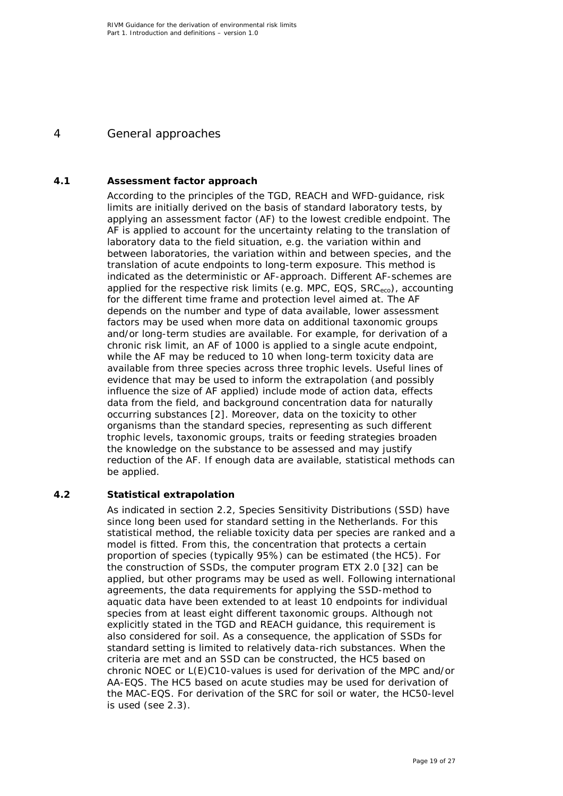# <span id="page-18-0"></span>4 General approaches

#### **4.1 Assessment factor approach**

<span id="page-18-1"></span>According to the principles of the TGD, REACH and WFD-guidance, risk limits are initially derived on the basis of standard laboratory tests, by applying an assessment factor (AF) to the lowest credible endpoint. The AF is applied to account for the uncertainty relating to the translation of laboratory data to the field situation, e.g. the variation within and between laboratories, the variation within and between species, and the translation of acute endpoints to long-term exposure. This method is indicated as the deterministic or AF-approach. Different AF-schemes are applied for the respective risk limits (e.g. MPC, EQS,  $SRC_{eco}$ ), accounting for the different time frame and protection level aimed at. The AF depends on the number and type of data available, lower assessment factors may be used when more data on additional taxonomic groups and/or long-term studies are available. For example, for derivation of a chronic risk limit, an AF of 1000 is applied to a single acute endpoint, while the AF may be reduced to 10 when long-term toxicity data are available from three species across three trophic levels. Useful lines of evidence that may be used to inform the extrapolation (and possibly influence the size of AF applied) include mode of action data, effects data from the field, and background concentration data for naturally occurring substances [2]. Moreover, data on the toxicity to other organisms than the standard species, representing as such different trophic levels, taxonomic groups, traits or feeding strategies broaden the knowledge on the substance to be assessed and may justify reduction of the AF. If enough data are available, statistical methods can be applied.

#### **4.2 Statistical extrapolation**

<span id="page-18-2"></span>As indicated in section 2.2, Species Sensitivity Distributions (SSD) have since long been used for standard setting in the Netherlands. For this statistical method, the reliable toxicity data per species are ranked and a model is fitted. From this, the concentration that protects a certain proportion of species (typically 95%) can be estimated (the HC5). For the construction of SSDs, the computer program ETX 2.0 [32] can be applied, but other programs may be used as well. Following international agreements, the data requirements for applying the SSD-method to aquatic data have been extended to at least 10 endpoints for individual species from at least eight different taxonomic groups. Although not explicitly stated in the TGD and REACH guidance, this requirement is also considered for soil. As a consequence, the application of SSDs for standard setting is limited to relatively data-rich substances. When the criteria are met and an SSD can be constructed, the HC5 based on chronic NOEC or L(E)C10-values is used for derivation of the MPC and/or AA-EQS. The HC5 based on acute studies may be used for derivation of the MAC-EQS. For derivation of the SRC for soil or water, the HC50-level is used (see 2.3).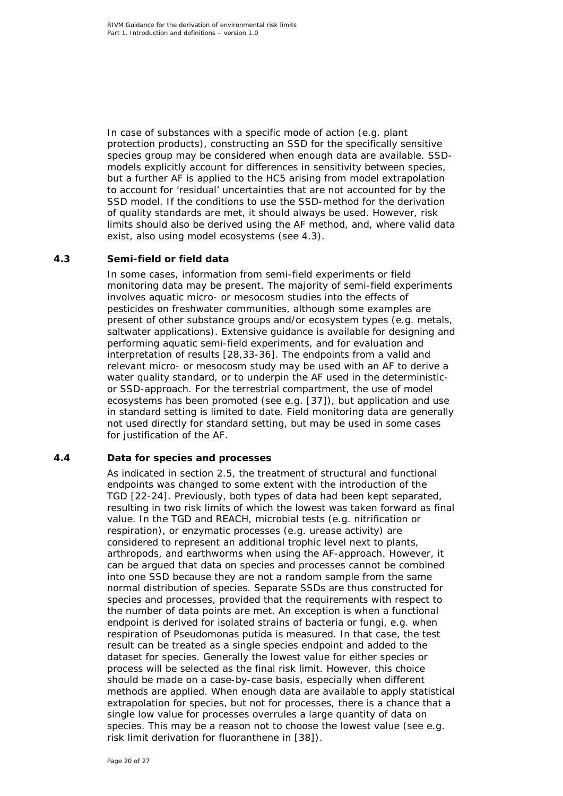In case of substances with a specific mode of action (e.g. plant protection products), constructing an SSD for the specifically sensitive species group may be considered when enough data are available. SSDmodels explicitly account for differences in sensitivity between species, but a further AF is applied to the HC5 arising from model extrapolation to account for 'residual' uncertainties that are not accounted for by the SSD model. If the conditions to use the SSD-method for the derivation of quality standards are met, it should always be used. However, risk limits should also be derived using the AF method, and, where valid data exist, also using model ecosystems (see 4.3).

#### **4.3 Semi-field or field data**

<span id="page-19-0"></span>In some cases, information from semi-field experiments or field monitoring data may be present. The majority of semi-field experiments involves aquatic micro- or mesocosm studies into the effects of pesticides on freshwater communities, although some examples are present of other substance groups and/or ecosystem types (e.g. metals, saltwater applications). Extensive guidance is available for designing and performing aquatic semi-field experiments, and for evaluation and interpretation of results [28,33-36]. The endpoints from a valid and relevant micro- or mesocosm study may be used with an AF to derive a water quality standard, or to underpin the AF used in the deterministicor SSD-approach. For the terrestrial compartment, the use of model ecosystems has been promoted (see e.g. [37]), but application and use in standard setting is limited to date. Field monitoring data are generally not used directly for standard setting, but may be used in some cases for justification of the AF.

#### **4.4 Data for species and processes**

<span id="page-19-1"></span>As indicated in section 2.5, the treatment of structural and functional endpoints was changed to some extent with the introduction of the TGD [22-24]. Previously, both types of data had been kept separated, resulting in two risk limits of which the lowest was taken forward as final value. In the TGD and REACH, microbial tests (e.g. nitrification or respiration), or enzymatic processes (e.g. urease activity) are considered to represent an additional trophic level next to plants, arthropods, and earthworms when using the AF-approach. However, it can be argued that data on species and processes cannot be combined into one SSD because they are not a random sample from the same normal distribution of species. Separate SSDs are thus constructed for species and processes, provided that the requirements with respect to the number of data points are met. An exception is when a functional endpoint is derived for isolated strains of bacteria or fungi, e.g. when respiration of *Pseudomonas putida* is measured. In that case, the test result can be treated as a single species endpoint and added to the dataset for species. Generally the lowest value for either species or process will be selected as the final risk limit. However, this choice should be made on a case-by-case basis, especially when different methods are applied. When enough data are available to apply statistical extrapolation for species, but not for processes, there is a chance that a single low value for processes overrules a large quantity of data on species. This may be a reason not to choose the lowest value (see e.g. risk limit derivation for fluoranthene in [38]).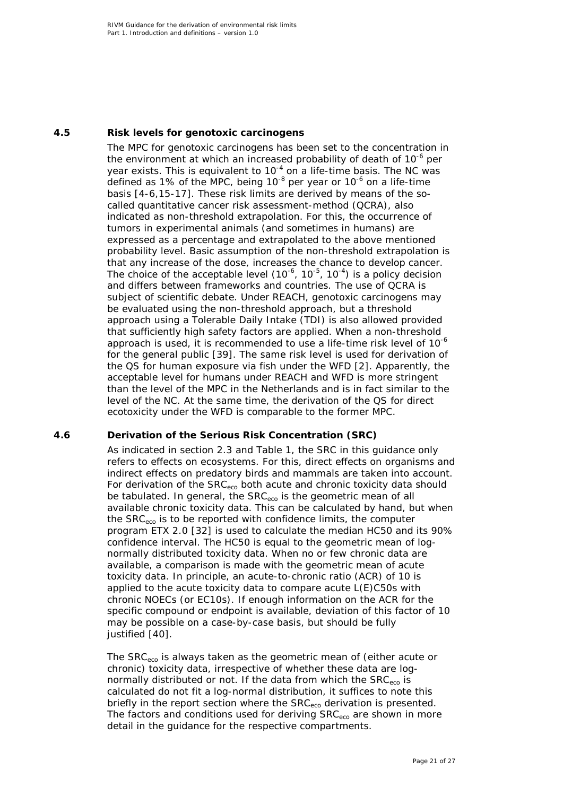#### **4.5 Risk levels for genotoxic carcinogens**

<span id="page-20-0"></span>The MPC for genotoxic carcinogens has been set to the concentration in the environment at which an increased probability of death of  $10^{-6}$  per year exists. This is equivalent to  $10^{-4}$  on a life-time basis. The NC was defined as 1% of the MPC, being  $10^{-8}$  per year or  $10^{-6}$  on a life-time basis [4-6,15-17]. These risk limits are derived by means of the socalled quantitative cancer risk assessment-method (QCRA), also indicated as non-threshold extrapolation. For this, the occurrence of tumors in experimental animals (and sometimes in humans) are expressed as a percentage and extrapolated to the above mentioned probability level. Basic assumption of the non-threshold extrapolation is that any increase of the dose, increases the chance to develop cancer. The choice of the acceptable level  $(10^{-6}, 10^{-5}, 10^{-4})$  is a policy decision and differs between frameworks and countries. The use of QCRA is subject of scientific debate. Under REACH, genotoxic carcinogens may be evaluated using the non-threshold approach, but a threshold approach using a Tolerable Daily Intake (TDI) is also allowed provided that sufficiently high safety factors are applied. When a non-threshold approach is used, it is recommended to use a life-time risk level of 10<sup>-6</sup> for the general public [39]. The same risk level is used for derivation of the QS for human exposure via fish under the WFD [2]. Apparently, the acceptable level for humans under REACH and WFD is more stringent than the level of the MPC in the Netherlands and is in fact similar to the level of the NC. At the same time, the derivation of the QS for direct ecotoxicity under the WFD is comparable to the former MPC.

#### **4.6 Derivation of the Serious Risk Concentration (SRC)**

<span id="page-20-1"></span>As indicated in section 2.3 and Table 1, the SRC in this guidance only refers to effects on ecosystems. For this, direct effects on organisms and indirect effects on predatory birds and mammals are taken into account. For derivation of the  $SRC_{\text{eco}}$  both acute and chronic toxicity data should be tabulated. In general, the SRC<sub>eco</sub> is the geometric mean of all available chronic toxicity data. This can be calculated by hand, but when the  $SRC_{eco}$  is to be reported with confidence limits, the computer program ETX 2.0 [32] is used to calculate the median HC50 and its 90% confidence interval. The HC50 is equal to the geometric mean of lognormally distributed toxicity data. When no or few chronic data are available, a comparison is made with the geometric mean of acute toxicity data. In principle, an acute-to-chronic ratio (ACR) of 10 is applied to the acute toxicity data to compare acute L(E)C50s with chronic NOECs (or EC10s). If enough information on the ACR for the specific compound or endpoint is available, deviation of this factor of 10 may be possible on a case-by-case basis, but should be fully justified [40].

The  $SRC<sub>ero</sub>$  is always taken as the geometric mean of (either acute or chronic) toxicity data, irrespective of whether these data are lognormally distributed or not. If the data from which the SRC<sub>eco</sub> is calculated do not fit a log-normal distribution, it suffices to note this briefly in the report section where the SRC<sub>eco</sub> derivation is presented. The factors and conditions used for deriving  $SRC_{\text{eco}}$  are shown in more detail in the guidance for the respective compartments.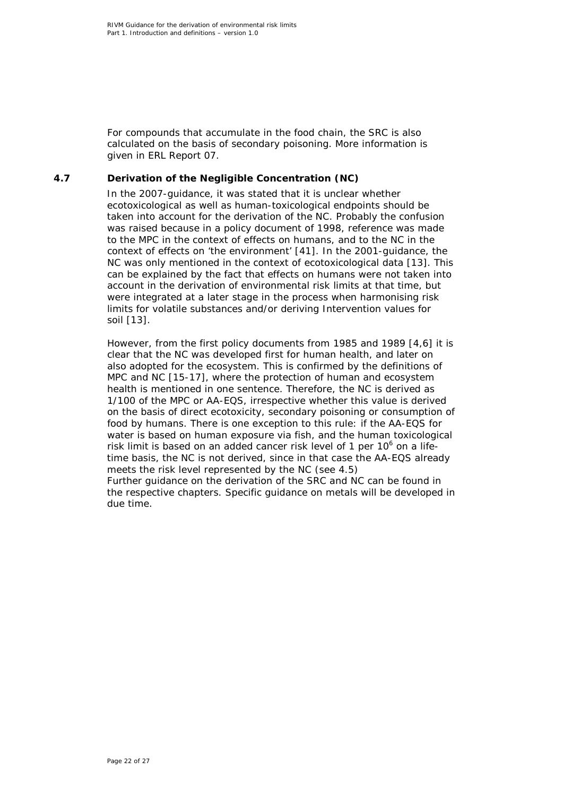For compounds that accumulate in the food chain, the SRC is also calculated on the basis of secondary poisoning. More information is given in ERL Report 07.

#### **4.7 Derivation of the Negligible Concentration (NC)**

<span id="page-21-0"></span>In the 2007-guidance, it was stated that it is unclear whether ecotoxicological as well as human-toxicological endpoints should be taken into account for the derivation of the NC. Probably the confusion was raised because in a policy document of 1998, reference was made to the MPC in the context of effects on humans, and to the NC in the context of effects on 'the environment' [41]. In the 2001-guidance, the NC was only mentioned in the context of ecotoxicological data [13]. This can be explained by the fact that effects on humans were not taken into account in the derivation of environmental risk limits at that time, but were integrated at a later stage in the process when harmonising risk limits for volatile substances and/or deriving Intervention values for soil [13].

However, from the first policy documents from 1985 and 1989 [4,6] it is clear that the NC was developed first for human health, and later on also adopted for the ecosystem. This is confirmed by the definitions of MPC and NC [15-17], where the protection of human and ecosystem health is mentioned in one sentence. Therefore, the NC is derived as 1/100 of the MPC or AA-EQS, irrespective whether this value is derived on the basis of direct ecotoxicity, secondary poisoning or consumption of food by humans. There is one exception to this rule: if the AA-EQS for water is based on human exposure via fish, and the human toxicological risk limit is based on an added cancer risk level of 1 per  $10<sup>6</sup>$  on a lifetime basis, the NC is not derived, since in that case the AA-EQS already meets the risk level represented by the NC (see 4.5) Further guidance on the derivation of the SRC and NC can be found in

the respective chapters. Specific guidance on metals will be developed in due time.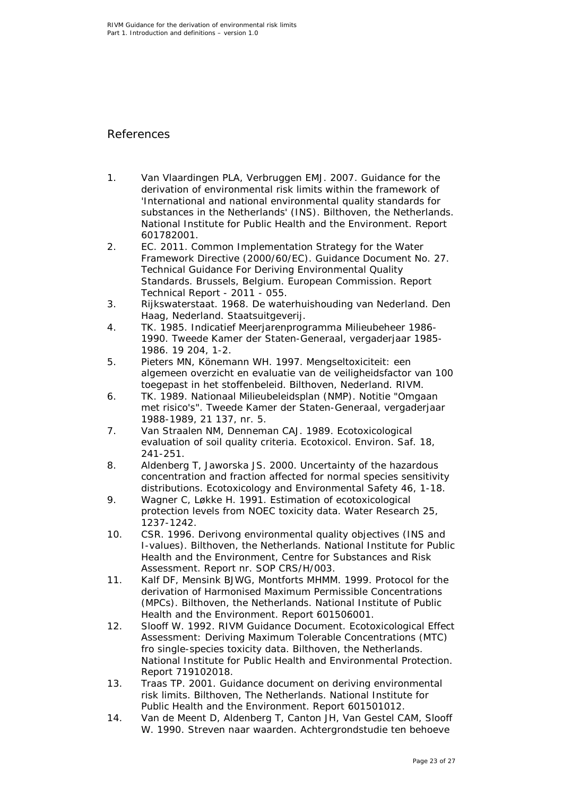## <span id="page-22-0"></span>References

- 1. Van Vlaardingen PLA, Verbruggen EMJ. 2007. Guidance for the derivation of environmental risk limits within the framework of 'International and national environmental quality standards for substances in the Netherlands' (INS). Bilthoven, the Netherlands. National Institute for Public Health and the Environment. Report 601782001.
- 2. EC. 2011. Common Implementation Strategy for the Water Framework Directive (2000/60/EC). Guidance Document No. 27. Technical Guidance For Deriving Environmental Quality Standards. Brussels, Belgium. European Commission. Report Technical Report - 2011 - 055.
- 3. Rijkswaterstaat. 1968. De waterhuishouding van Nederland. Den Haag, Nederland. Staatsuitgeverij.
- 4. TK. 1985. Indicatief Meerjarenprogramma Milieubeheer 1986- 1990. Tweede Kamer der Staten-Generaal, vergaderjaar 1985- 1986. 19 204, 1-2.
- 5. Pieters MN, Könemann WH. 1997. Mengseltoxiciteit: een algemeen overzicht en evaluatie van de veiligheidsfactor van 100 toegepast in het stoffenbeleid. Bilthoven, Nederland. RIVM.
- 6. TK. 1989. Nationaal Milieubeleidsplan (NMP). Notitie "Omgaan met risico's". Tweede Kamer der Staten-Generaal, vergaderjaar 1988-1989, 21 137, nr. 5.
- 7. Van Straalen NM, Denneman CAJ. 1989. Ecotoxicological evaluation of soil quality criteria. Ecotoxicol. Environ. Saf. 18, 241-251.
- 8. Aldenberg T, Jaworska JS. 2000. Uncertainty of the hazardous concentration and fraction affected for normal species sensitivity distributions. Ecotoxicology and Environmental Safety 46, 1-18.
- 9. Wagner C, Løkke H. 1991. Estimation of ecotoxicological protection levels from NOEC toxicity data. Water Research 25, 1237-1242.
- 10. CSR. 1996. Derivong environmental quality objectives (INS and I-values). Bilthoven, the Netherlands. National Institute for Public Health and the Environment, Centre for Substances and Risk Assessment. Report nr. SOP CRS/H/003.
- 11. Kalf DF, Mensink BJWG, Montforts MHMM. 1999. Protocol for the derivation of Harmonised Maximum Permissible Concentrations (MPCs). Bilthoven, the Netherlands. National Institute of Public Health and the Environment. Report 601506001.
- 12. Slooff W. 1992. RIVM Guidance Document. Ecotoxicological Effect Assessment: Deriving Maximum Tolerable Concentrations (MTC) fro single-species toxicity data. Bilthoven, the Netherlands. National Institute for Public Health and Environmental Protection. Report 719102018.
- 13. Traas TP. 2001. Guidance document on deriving environmental risk limits. Bilthoven, The Netherlands. National Institute for Public Health and the Environment. Report 601501012.
- 14. Van de Meent D, Aldenberg T, Canton JH, Van Gestel CAM, Slooff W. 1990. Streven naar waarden. Achtergrondstudie ten behoeve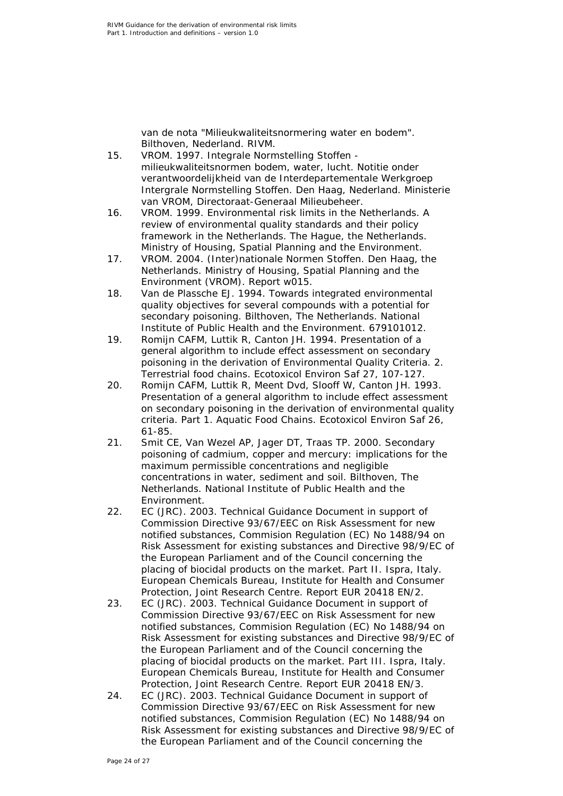van de nota "Milieukwaliteitsnormering water en bodem". Bilthoven, Nederland. RIVM.

- 15. VROM. 1997. Integrale Normstelling Stoffen milieukwaliteitsnormen bodem, water, lucht. Notitie onder verantwoordelijkheid van de Interdepartementale Werkgroep Intergrale Normstelling Stoffen. Den Haag, Nederland. Ministerie van VROM, Directoraat-Generaal Milieubeheer.
- 16. VROM. 1999. Environmental risk limits in the Netherlands. A review of environmental quality standards and their policy framework in the Netherlands. The Hague, the Netherlands. Ministry of Housing, Spatial Planning and the Environment.
- 17. VROM. 2004. (Inter)nationale Normen Stoffen. Den Haag, the Netherlands. Ministry of Housing, Spatial Planning and the Environment (VROM). Report w015.
- 18. Van de Plassche EJ. 1994. Towards integrated environmental quality objectives for several compounds with a potential for secondary poisoning. Bilthoven, The Netherlands. National Institute of Public Health and the Environment. 679101012.
- 19. Romijn CAFM, Luttik R, Canton JH. 1994. Presentation of a general algorithm to include effect assessment on secondary poisoning in the derivation of Environmental Quality Criteria. 2. Terrestrial food chains. Ecotoxicol Environ Saf 27, 107-127.
- 20. Romijn CAFM, Luttik R, Meent Dvd, Slooff W, Canton JH. 1993. Presentation of a general algorithm to include effect assessment on secondary poisoning in the derivation of environmental quality criteria. Part 1. Aquatic Food Chains. Ecotoxicol Environ Saf 26, 61-85.
- 21. Smit CE, Van Wezel AP, Jager DT, Traas TP. 2000. Secondary poisoning of cadmium, copper and mercury: implications for the maximum permissible concentrations and negligible concentrations in water, sediment and soil. Bilthoven, The Netherlands. National Institute of Public Health and the Environment.
- 22. EC (JRC). 2003. Technical Guidance Document in support of Commission Directive 93/67/EEC on Risk Assessment for new notified substances, Commision Regulation (EC) No 1488/94 on Risk Assessment for existing substances and Directive 98/9/EC of the European Parliament and of the Council concerning the placing of biocidal products on the market. Part II. Ispra, Italy. European Chemicals Bureau, Institute for Health and Consumer Protection, Joint Research Centre. Report EUR 20418 EN/2.
- 23. EC (JRC). 2003. Technical Guidance Document in support of Commission Directive 93/67/EEC on Risk Assessment for new notified substances, Commision Regulation (EC) No 1488/94 on Risk Assessment for existing substances and Directive 98/9/EC of the European Parliament and of the Council concerning the placing of biocidal products on the market. Part III. Ispra, Italy. European Chemicals Bureau, Institute for Health and Consumer Protection, Joint Research Centre. Report EUR 20418 EN/3.
- 24. EC (JRC). 2003. Technical Guidance Document in support of Commission Directive 93/67/EEC on Risk Assessment for new notified substances, Commision Regulation (EC) No 1488/94 on Risk Assessment for existing substances and Directive 98/9/EC of the European Parliament and of the Council concerning the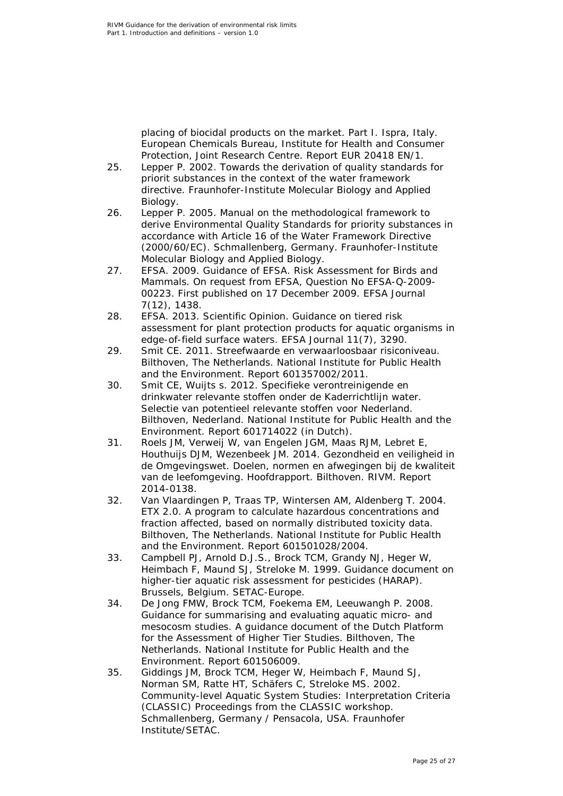placing of biocidal products on the market. Part I. Ispra, Italy. European Chemicals Bureau, Institute for Health and Consumer Protection, Joint Research Centre. Report EUR 20418 EN/1.

- 25. Lepper P. 2002. Towards the derivation of quality standards for priorit substances in the context of the water framework directive. Fraunhofer-Institute Molecular Biology and Applied Biology.
- 26. Lepper P. 2005. Manual on the methodological framework to derive Environmental Quality Standards for priority substances in accordance with Article 16 of the Water Framework Directive (2000/60/EC). Schmallenberg, Germany. Fraunhofer-Institute Molecular Biology and Applied Biology.
- 27. EFSA. 2009. Guidance of EFSA. Risk Assessment for Birds and Mammals. On request from EFSA, Question No EFSA-Q-2009- 00223. First published on 17 December 2009. EFSA Journal 7(12), 1438.
- 28. EFSA. 2013. Scientific Opinion. Guidance on tiered risk assessment for plant protection products for aquatic organisms in edge-of-field surface waters. EFSA Journal 11(7), 3290.
- 29. Smit CE. 2011. Streefwaarde en verwaarloosbaar risiconiveau. Bilthoven, The Netherlands. National Institute for Public Health and the Environment. Report 601357002/2011.
- 30. Smit CE, Wuijts s. 2012. Specifieke verontreinigende en drinkwater relevante stoffen onder de Kaderrichtlijn water. Selectie van potentieel relevante stoffen voor Nederland. Bilthoven, Nederland. National Institute for Public Health and the Environment. Report 601714022 (in Dutch).
- 31. Roels JM, Verweij W, van Engelen JGM, Maas RJM, Lebret E, Houthuijs DJM, Wezenbeek JM. 2014. Gezondheid en veiligheid in de Omgevingswet. Doelen, normen en afwegingen bij de kwaliteit van de leefomgeving. Hoofdrapport. Bilthoven. RIVM. Report 2014-0138.
- 32. Van Vlaardingen P, Traas TP, Wintersen AM, Aldenberg T. 2004. ETX 2.0. A program to calculate hazardous concentrations and fraction affected, based on normally distributed toxicity data. Bilthoven, The Netherlands. National Institute for Public Health and the Environment. Report 601501028/2004.
- 33. Campbell PJ, Arnold D.J.S., Brock TCM, Grandy NJ, Heger W, Heimbach F, Maund SJ, Streloke M. 1999. Guidance document on higher-tier aquatic risk assessment for pesticides (HARAP). Brussels, Belgium. SETAC-Europe.
- 34. De Jong FMW, Brock TCM, Foekema EM, Leeuwangh P. 2008. Guidance for summarising and evaluating aquatic micro- and mesocosm studies. A guidance document of the Dutch Platform for the Assessment of Higher Tier Studies. Bilthoven, The Netherlands. National Institute for Public Health and the Environment. Report 601506009.
- 35. Giddings JM, Brock TCM, Heger W, Heimbach F, Maund SJ, Norman SM, Ratte HT, Schäfers C, Streloke MS. 2002. Community-level Aquatic System Studies: Interpretation Criteria (CLASSIC) Proceedings from the CLASSIC workshop. Schmallenberg, Germany / Pensacola, USA. Fraunhofer Institute/SETAC.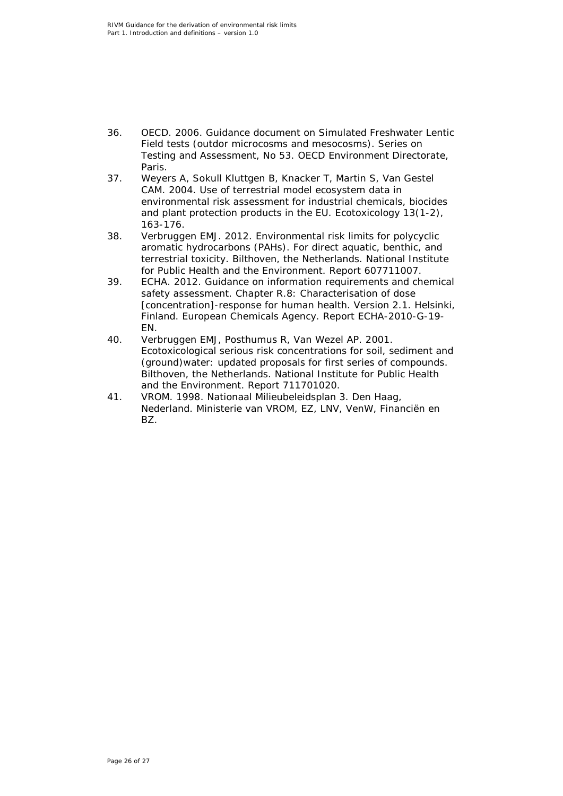- 36. OECD. 2006. Guidance document on Simulated Freshwater Lentic Field tests (outdor microcosms and mesocosms). Series on Testing and Assessment, No 53. OECD Environment Directorate, Paris.
- 37. Weyers A, Sokull Kluttgen B, Knacker T, Martin S, Van Gestel CAM. 2004. Use of terrestrial model ecosystem data in environmental risk assessment for industrial chemicals, biocides and plant protection products in the EU. Ecotoxicology 13(1-2), 163-176.
- 38. Verbruggen EMJ. 2012. Environmental risk limits for polycyclic aromatic hydrocarbons (PAHs). For direct aquatic, benthic, and terrestrial toxicity. Bilthoven, the Netherlands. National Institute for Public Health and the Environment. Report 607711007.
- 39. ECHA. 2012. Guidance on information requirements and chemical safety assessment. Chapter R.8: Characterisation of dose [concentration]-response for human health. Version 2.1. Helsinki, Finland. European Chemicals Agency. Report ECHA-2010-G-19- EN.
- 40. Verbruggen EMJ, Posthumus R, Van Wezel AP. 2001. Ecotoxicological serious risk concentrations for soil, sediment and (ground)water: updated proposals for first series of compounds. Bilthoven, the Netherlands. National Institute for Public Health and the Environment. Report 711701020.
- 41. VROM. 1998. Nationaal Milieubeleidsplan 3. Den Haag, Nederland. Ministerie van VROM, EZ, LNV, VenW, Financiën en BZ.